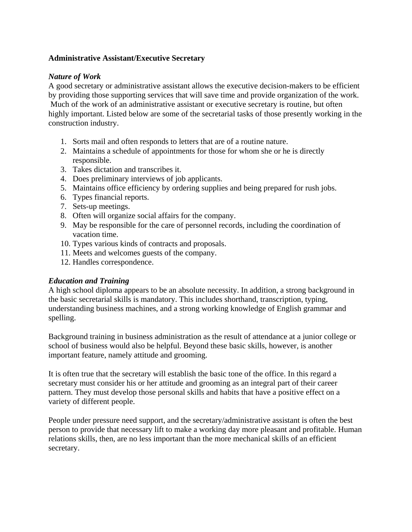## **Administrative Assistant/Executive Secretary**

## *Nature of Work*

A good secretary or administrative assistant allows the executive decision-makers to be efficient by providing those supporting services that will save time and provide organization of the work. Much of the work of an administrative assistant or executive secretary is routine, but often highly important. Listed below are some of the secretarial tasks of those presently working in the construction industry.

- 1. Sorts mail and often responds to letters that are of a routine nature.
- 2. Maintains a schedule of appointments for those for whom she or he is directly responsible.
- 3. Takes dictation and transcribes it.
- 4. Does preliminary interviews of job applicants.
- 5. Maintains office efficiency by ordering supplies and being prepared for rush jobs.
- 6. Types financial reports.
- 7. Sets-up meetings.
- 8. Often will organize social affairs for the company.
- 9. May be responsible for the care of personnel records, including the coordination of vacation time.
- 10. Types various kinds of contracts and proposals.
- 11. Meets and welcomes guests of the company.
- 12. Handles correspondence.

## *Education and Training*

A high school diploma appears to be an absolute necessity. In addition, a strong background in the basic secretarial skills is mandatory. This includes shorthand, transcription, typing, understanding business machines, and a strong working knowledge of English grammar and spelling.

Background training in business administration as the result of attendance at a junior college or school of business would also be helpful. Beyond these basic skills, however, is another important feature, namely attitude and grooming.

It is often true that the secretary will establish the basic tone of the office. In this regard a secretary must consider his or her attitude and grooming as an integral part of their career pattern. They must develop those personal skills and habits that have a positive effect on a variety of different people.

People under pressure need support, and the secretary/administrative assistant is often the best person to provide that necessary lift to make a working day more pleasant and profitable. Human relations skills, then, are no less important than the more mechanical skills of an efficient secretary.